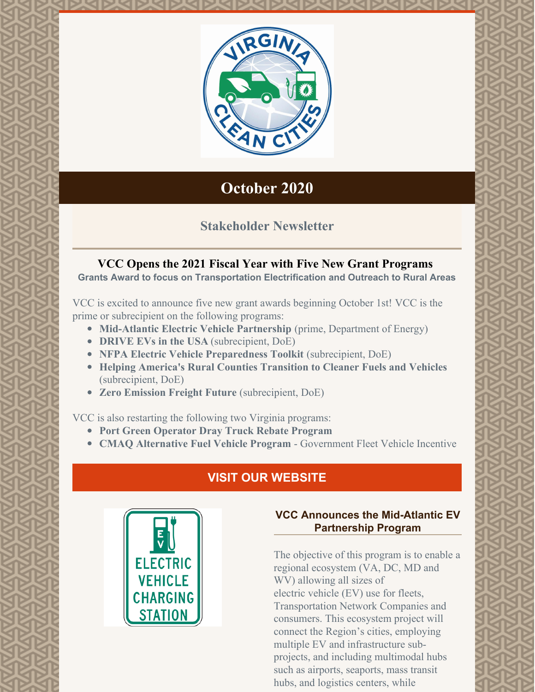

# **October 2020**

## **Stakeholder Newsletter**

## **VCC Opens the 2021 Fiscal Year with Five New Grant Programs**

**Grants Award to focus on Transportation Electrification and Outreach to Rural Areas**

VCC is excited to announce five new grant awards beginning October 1st! VCC is the prime or subrecipient on the following programs:

- **Mid-Atlantic Electric Vehicle Partnership** (prime, Department of Energy)
- **DRIVE EVs in the USA** (subrecipient, DoE)
- **NFPA Electric Vehicle Preparedness Toolkit** (subrecipient, DoE)
- **Helping America's Rural Counties Transition to Cleaner Fuels and Vehicles** (subrecipient, DoE)
- **Zero Emission Freight Future** (subrecipient, DoE)

VCC is also restarting the following two Virginia programs:

- **Port Green Operator Dray Truck Rebate Program**
- **CMAQ Alternative Fuel Vehicle Program** Government Fleet Vehicle Incentive

# **VISIT OUR [WEBSITE](http://www.vacleancities.org)**



## **VCC Announces the Mid-Atlantic EV Partnership Program**

The objective of this program is to enable a regional ecosystem (VA, DC, MD and WV) allowing all sizes of electric vehicle (EV) use for fleets, Transportation Network Companies and consumers. This ecosystem project will connect the Region's cities, employing multiple EV and infrastructure subprojects, and including multimodal hubs such as airports, seaports, mass transit hubs, and logistics centers, while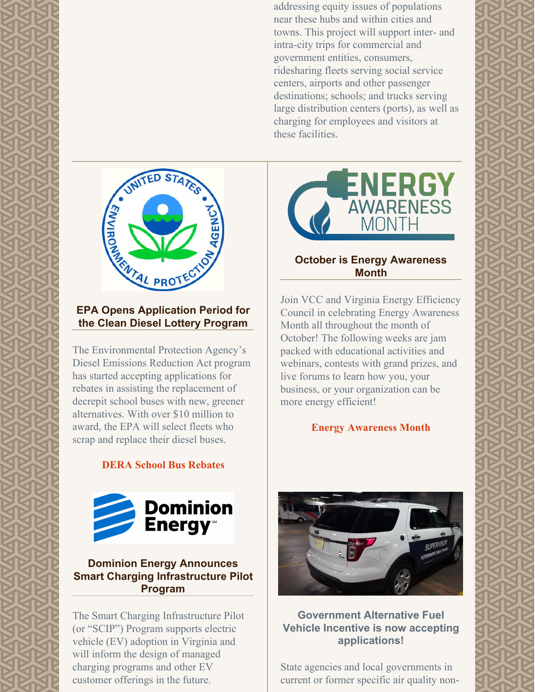addressing equity issues of populations near these hubs and within cities and towns. This project will support inter- and intra-city trips for commercial and government entities, consumers, ridesharing fleets serving social service centers, airports and other passenger destinations; schools; and trucks serving large distribution centers (ports), as well as charging for employees and visitors at these facilities.



### **EPA Opens Application Period for the Clean Diesel Lottery Program**

The Environmental Protection Agency's Diesel Emissions Reduction Act program has started accepting applications for rebates in assisting the replacement of decrepit school buses with new, greener alternatives. With over \$10 million to award, the EPA will select fleets who scrap and replace their diesel buses.

### **DERA School Bus [Rebates](https://www.epa.gov/dera/rebates)**



#### **Dominion Energy Announces Smart Charging Infrastructure Pilot Program**

The Smart Charging Infrastructure Pilot (or "SCIP") Program supports electric vehicle (EV) adoption in Virginia and will inform the design of managed charging programs and other EV customer offerings in the future.



### **October is Energy Awareness Month**

Join VCC and Virginia Energy Efficiency Council in celebrating Energy Awareness Month all throughout the month of October! The following weeks are jam packed with educational activities and webinars, contests with grand prizes, and live forums to learn how you, your business, or your organization can be more energy efficient!

#### **Energy [Awareness](https://www.energy.gov/eere/femp/energy-awareness-month) Month**



#### **Government Alternative Fuel Vehicle Incentive is now accepting applications!**

State agencies and local governments in current or former specific air quality non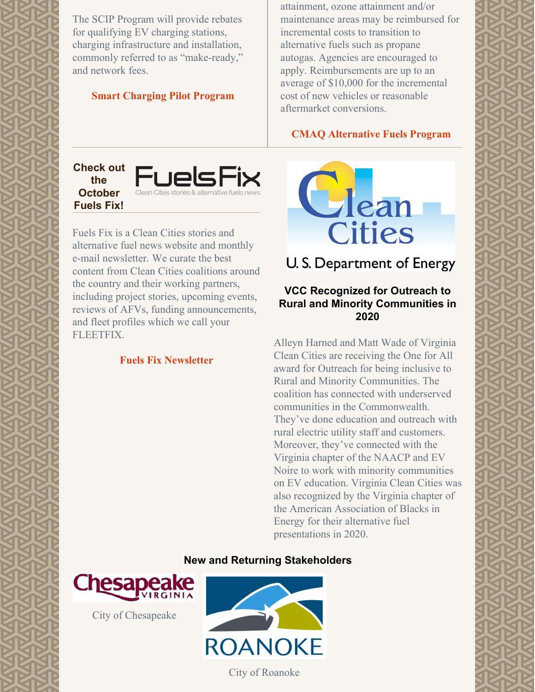The SCIP Program will provide rebates for qualifying EV charging stations, charging infrastructure and installation, commonly referred to as "make-ready," and network fees.

#### **Smart [Charging](https://www.dominionenergy.com/virginia/save-energy/electric-vehicles/powering-smart-transportation) Pilot Program**

attainment, ozone attainment and/or maintenance areas may be reimbursed for incremental costs to transition to alternative fuels such as propane autogas. Agencies are encouraged to apply. Reimbursements are up to an average of \$10,000 for the incremental cost of new vehicles or reasonable aftermarket conversions.

#### **CMAQ [Alternative](https://vacleancities.org/reports-2/cmaq-incentive-program/) Fuels Program**

**Check out the October Fuels Fix!**



Fuels Fix is a Clean Cities stories and alternative fuel news website and monthly e-mail newsletter. We curate the best content from Clean Cities coalitions around the country and their working partners, including project stories, upcoming events, reviews of AFVs, funding announcements, and fleet profiles which we call your FLEETFIX.

#### **Fuels Fix [Newsletter](https://myemail.constantcontact.com/FUELS-FIX-MONTHLY--Idle-Free-Awareness--propane-autogas-lawnmowers-and-more.html?soid=1102213310070&aid=2J9Mm09o2aI)**

Clean **Cities** 

U.S. Department of Energy

#### **VCC Recognized for Outreach to Rural and Minority Communities in 2020**

Alleyn Harned and Matt Wade of Virginia Clean Cities are receiving the One for All award for Outreach for being inclusive to Rural and Minority Communities. The coalition has connected with underserved communities in the Commonwealth. They've done education and outreach with rural electric utility staff and customers. Moreover, they've connected with the Virginia chapter of the NAACP and EV Noire to work with minority communities on EV education. Virginia Clean Cities was also recognized by the Virginia chapter of the American Association of Blacks in Energy for their alternative fuel presentations in 2020.

#### **New and Returning Stakeholders**



City of Chesapeake



City of Roanoke